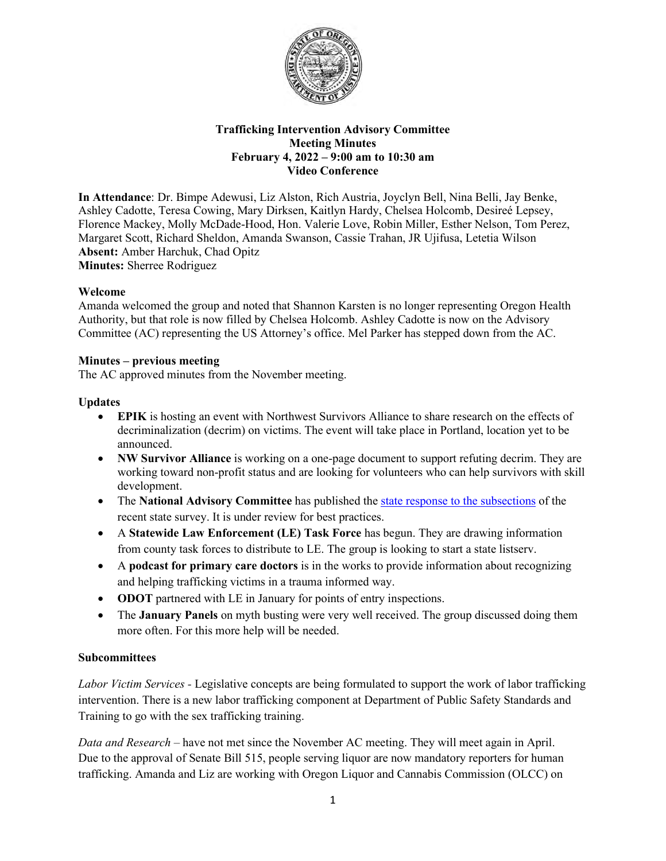

### **Trafficking Intervention Advisory Committee Meeting Minutes February 4, 2022 – 9:00 am to 10:30 am Video Conference**

**In Attendance**: Dr. Bimpe Adewusi, Liz Alston, Rich Austria, Joyclyn Bell, Nina Belli, Jay Benke, Ashley Cadotte, Teresa Cowing, Mary Dirksen, Kaitlyn Hardy, Chelsea Holcomb, Desireé Lepsey, Florence Mackey, Molly McDade-Hood, Hon. Valerie Love, Robin Miller, Esther Nelson, Tom Perez, Margaret Scott, Richard Sheldon, Amanda Swanson, Cassie Trahan, JR Ujifusa, Letetia Wilson **Absent:** Amber Harchuk, Chad Opitz **Minutes:** Sherree Rodriguez

### **Welcome**

Amanda welcomed the group and noted that Shannon Karsten is no longer representing Oregon Health Authority, but that role is now filled by Chelsea Holcomb. Ashley Cadotte is now on the Advisory Committee (AC) representing the US Attorney's office. Mel Parker has stepped down from the AC.

### **Minutes – previous meeting**

The AC approved minutes from the November meeting.

### **Updates**

- **EPIK** is hosting an event with Northwest Survivors Alliance to share research on the effects of decriminalization (decrim) on victims. The event will take place in Portland, location yet to be announced.
- **NW Survivor Alliance** is working on a one-page document to support refuting decrim. They are working toward non-profit status and are looking for volunteers who can help survivors with skill development.
- The **National Advisory Committee** has published the [state response to the subsections](https://www.acf.hhs.gov/sites/default/files/documents/otip/nac_report_2020.pdf) of the recent state survey. It is under review for best practices.
- A **Statewide Law Enforcement (LE) Task Force** has begun. They are drawing information from county task forces to distribute to LE. The group is looking to start a state listserv.
- A **podcast for primary care doctors** is in the works to provide information about recognizing and helping trafficking victims in a trauma informed way.
- **ODOT** partnered with LE in January for points of entry inspections.
- The **January Panels** on myth busting were very well received. The group discussed doing them more often. For this more help will be needed.

## **Subcommittees**

*Labor Victim Services -* Legislative concepts are being formulated to support the work of labor trafficking intervention. There is a new labor trafficking component at Department of Public Safety Standards and Training to go with the sex trafficking training.

*Data and Research –* have not met since the November AC meeting. They will meet again in April. Due to the approval of Senate Bill 515, people serving liquor are now mandatory reporters for human trafficking. Amanda and Liz are working with Oregon Liquor and Cannabis Commission (OLCC) on